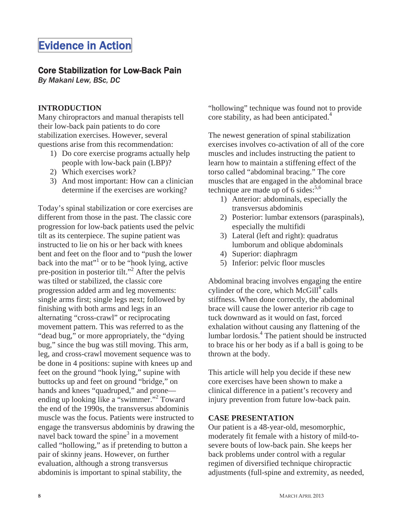# Evidence in Action

# Core Stabilization for Low-Back Pain

*By Makani Lew, BSc, DC*

## **INTRODUCTION**

Many chiropractors and manual therapists tell their low-back pain patients to do core stabilization exercises. However, several questions arise from this recommendation:

- 1) Do core exercise programs actually help people with low-back pain (LBP)?
- 2) Which exercises work?
- 3) And most important: How can a clinician determine if the exercises are working?

Today's spinal stabilization or core exercises are different from those in the past. The classic core progression for low-back patients used the pelvic tilt as its centerpiece. The supine patient was instructed to lie on his or her back with knees bent and feet on the floor and to "push the lower back into the mat"<sup>1</sup> or to be "hook lying, active pre-position in posterior tilt."<sup>2</sup> After the pelvis was tilted or stabilized, the classic core progression added arm and leg movements: single arms first; single legs next; followed by finishing with both arms and legs in an alternating "cross-crawl" or reciprocating movement pattern. This was referred to as the "dead bug," or more appropriately, the "dying bug," since the bug was still moving. This arm, leg, and cross-crawl movement sequence was to be done in 4 positions: supine with knees up and feet on the ground "hook lying," supine with buttocks up and feet on ground "bridge," on hands and knees "quadruped," and prone ending up looking like a "swimmer."<sup>2</sup> Toward the end of the 1990s, the transversus abdominis muscle was the focus. Patients were instructed to engage the transversus abdominis by drawing the navel back toward the spine<sup>3</sup> in a movement called "hollowing," as if pretending to button a pair of skinny jeans. However, on further evaluation, although a strong transversus abdominis is important to spinal stability, the

"hollowing" technique was found not to provide core stability, as had been anticipated.<sup>4</sup>

The newest generation of spinal stabilization exercises involves co-activation of all of the core muscles and includes instructing the patient to learn how to maintain a stiffening effect of the torso called "abdominal bracing." The core muscles that are engaged in the abdominal brace technique are made up of 6 sides: $5.6$ 

- 1) Anterior: abdominals, especially the transversus abdominis
- 2) Posterior: lumbar extensors (paraspinals), especially the multifidi
- 3) Lateral (left and right): quadratus lumborum and oblique abdominals
- 4) Superior: diaphragm
- 5) Inferior: pelvic floor muscles

Abdominal bracing involves engaging the entire cylinder of the core, which  $McGill<sup>4</sup>$  calls stiffness. When done correctly, the abdominal brace will cause the lower anterior rib cage to tuck downward as it would on fast, forced exhalation without causing any flattening of the lumbar lordosis.<sup>4</sup> The patient should be instructed to brace his or her body as if a ball is going to be thrown at the body.

This article will help you decide if these new core exercises have been shown to make a clinical difference in a patient's recovery and injury prevention from future low-back pain.

#### **CASE PRESENTATION**

Our patient is a 48-year-old, mesomorphic, moderately fit female with a history of mild-tosevere bouts of low-back pain. She keeps her back problems under control with a regular regimen of diversified technique chiropractic adjustments (full-spine and extremity, as needed,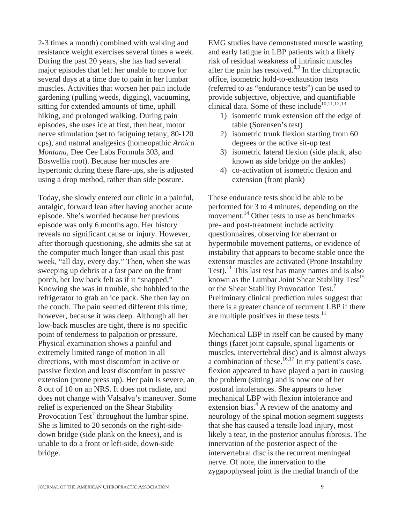2-3 times a month) combined with walking and resistance weight exercises several times a week. During the past 20 years, she has had several major episodes that left her unable to move for several days at a time due to pain in her lumbar muscles. Activities that worsen her pain include gardening (pulling weeds, digging), vacuuming, sitting for extended amounts of time, uphill hiking, and prolonged walking. During pain episodes, she uses ice at first, then heat, motor nerve stimulation (set to fatiguing tetany, 80-120 cps), and natural analgesics (homeopathic *Arnica Montana*, Dee Cee Labs Formula 303, and Boswellia root). Because her muscles are hypertonic during these flare-ups, she is adjusted using a drop method, rather than side posture.

Today, she slowly entered our clinic in a painful, antalgic, forward lean after having another acute episode. She's worried because her previous episode was only 6 months ago. Her history reveals no significant cause or injury. However, after thorough questioning, she admits she sat at the computer much longer than usual this past week, "all day, every day." Then, when she was sweeping up debris at a fast pace on the front porch, her low back felt as if it "snapped." Knowing she was in trouble, she hobbled to the refrigerator to grab an ice pack. She then lay on the couch. The pain seemed different this time, however, because it was deep. Although all her low-back muscles are tight, there is no specific point of tenderness to palpation or pressure. Physical examination shows a painful and extremely limited range of motion in all directions, with most discomfort in active or passive flexion and least discomfort in passive extension (prone press up). Her pain is severe, an 8 out of 10 on an NRS. It does not radiate, and does not change with Valsalva's maneuver. Some relief is experienced on the Shear Stability Provocation  $Test^7$  throughout the lumbar spine. She is limited to 20 seconds on the right-sidedown bridge (side plank on the knees), and is unable to do a front or left-side, down-side bridge.

EMG studies have demonstrated muscle wasting and early fatigue in LBP patients with a likely risk of residual weakness of intrinsic muscles after the pain has resolved. $8,9$  In the chiropractic office, isometric hold-to-exhaustion tests (referred to as "endurance tests") can be used to provide subjective, objective, and quantifiable clinical data. Some of these include<sup>10,11,12,13</sup>

- 1) isometric trunk extension off the edge of table (Sorensen's test)
- 2) isometric trunk flexion starting from 60 degrees or the active sit-up test
- 3) isometric lateral flexion (side plank, also known as side bridge on the ankles)
- 4) co-activation of isometric flexion and extension (front plank)

These endurance tests should be able to be performed for 3 to 4 minutes, depending on the movement.<sup>14</sup> Other tests to use as benchmarks pre- and post-treatment include activity questionnaires, observing for aberrant or hypermobile movement patterns, or evidence of instability that appears to become stable once the extensor muscles are activated (Prone Instability Test).<sup>11</sup> This last test has many names and is also known as the Lumbar Joint Shear Stability  $Test^{15}$ or the Shear Stability Provocation Test.7 Preliminary clinical prediction rules suggest that there is a greater chance of recurrent LBP if there are multiple positives in these tests. $^{11}$ 

Mechanical LBP in itself can be caused by many things (facet joint capsule, spinal ligaments or muscles, intervertebral disc) and is almost always a combination of these.<sup>16,17</sup> In my patient's case, flexion appeared to have played a part in causing the problem (sitting) and is now one of her postural intolerances. She appears to have mechanical LBP with flexion intolerance and extension bias.<sup>4</sup> A review of the anatomy and neurology of the spinal motion segment suggests that she has caused a tensile load injury, most likely a tear, in the posterior annulus fibrosis. The innervation of the posterior aspect of the intervertebral disc is the recurrent meningeal nerve. Of note, the innervation to the zygapophyseal joint is the medial branch of the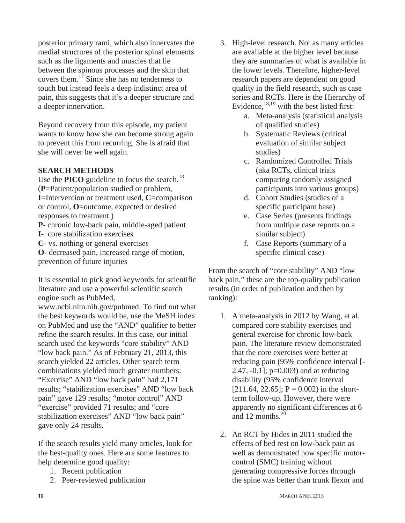posterior primary rami, which also innervates the medial structures of the posterior spinal elements such as the ligaments and muscles that lie between the spinous processes and the skin that covers them.17 Since she has no tenderness to touch but instead feels a deep indistinct area of pain, this suggests that it's a deeper structure and a deeper innervation.

Beyond recovery from this episode, my patient wants to know how she can become strong again to prevent this from recurring. She is afraid that she will never be well again.

## **SEARCH METHODS**

Use the **PICO** guideline to focus the search.<sup>18</sup> (**P**=Patient/population studied or problem, **I**=Intervention or treatment used, **C**=comparison or control, **O**=outcome, expected or desired responses to treatment.)

**P**- chronic low-back pain, middle-aged patient

**I-** core stabilization exercises

**C**- vs. nothing or general exercises

**O**- decreased pain, increased range of motion, prevention of future injuries

It is essential to pick good keywords for scientific literature and use a powerful scientific search engine such as PubMed,

www.ncbi.nlm.nih.gov/pubmed. To find out what the best keywords would be, use the MeSH index on PubMed and use the "AND" qualifier to better refine the search results. In this case, our initial search used the keywords "core stability" AND "low back pain." As of February 21, 2013, this search yielded 22 articles. Other search term combinations yielded much greater numbers: "Exercise" AND "low back pain" had 2,171 results; "stabilization exercises" AND "low back pain" gave 129 results; "motor control" AND "exercise" provided 71 results; and "core stabilization exercises" AND "low back pain" gave only 24 results.

If the search results yield many articles, look for the best-quality ones. Here are some features to help determine good quality:

- 1. Recent publication
- 2. Peer-reviewed publication
- 3. High-level research. Not as many articles are available at the higher level because they are summaries of what is available in the lower levels. Therefore, higher-level research papers are dependent on good quality in the field research, such as case series and RCTs. Here is the Hierarchy of Evidence,  $^{18,19}$  with the best listed first:
	- a. Meta-analysis (statistical analysis of qualified studies)
	- b. Systematic Reviews (critical evaluation of similar subject studies)
	- c. Randomized Controlled Trials (aka RCTs, clinical trials comparing randomly assigned participants into various groups)
	- d. Cohort Studies (studies of a specific participant base)
	- e. Case Series (presents findings from multiple case reports on a similar subject)
	- f. Case Reports (summary of a specific clinical case)

From the search of "core stability" AND "low back pain," these are the top-quality publication results (in order of publication and then by ranking):

- 1. A meta-analysis in 2012 by Wang, et al. compared core stability exercises and general exercise for chronic low-back pain. The literature review demonstrated that the core exercises were better at reducing pain (95% confidence interval [- 2.47,  $-0.1$ ;  $p=0.003$ ) and at reducing disability (95% confidence interval  $[211.64, 22.65]$ ; P = 0.002) in the shortterm follow-up. However, there were apparently no significant differences at 6 and 12 months. $^{20}$
- 2. An RCT by Hides in 2011 studied the effects of bed rest on low-back pain as well as demonstrated how specific motorcontrol (SMC) training without generating compressive forces through the spine was better than trunk flexor and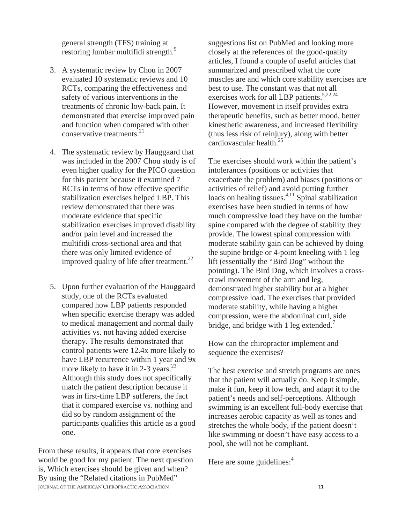general strength (TFS) training at restoring lumbar multifidi strength.<sup>9</sup>

- 3. A systematic review by Chou in 2007 evaluated 10 systematic reviews and 10 RCTs, comparing the effectiveness and safety of various interventions in the treatments of chronic low-back pain. It demonstrated that exercise improved pain and function when compared with other conservative treatments. $21$
- 4. The systematic review by Hauggaard that was included in the 2007 Chou study is of even higher quality for the PICO question for this patient because it examined 7 RCTs in terms of how effective specific stabilization exercises helped LBP. This review demonstrated that there was moderate evidence that specific stabilization exercises improved disability and/or pain level and increased the multifidi cross-sectional area and that there was only limited evidence of improved quality of life after treatment.<sup>22</sup>
- 5. Upon further evaluation of the Hauggaard study, one of the RCTs evaluated compared how LBP patients responded when specific exercise therapy was added to medical management and normal daily activities vs. not having added exercise therapy. The results demonstrated that control patients were 12.4x more likely to have LBP recurrence within 1 year and 9x more likely to have it in 2-3 years.<sup>23</sup> Although this study does not specifically match the patient description because it was in first-time LBP sufferers, the fact that it compared exercise vs. nothing and did so by random assignment of the participants qualifies this article as a good one.

**JOURNAL OF THE AMERICAN CHIROPRACTIC ASSOCIATION 11** From these results, it appears that core exercises would be good for my patient. The next question is, Which exercises should be given and when? By using the "Related citations in PubMed"

suggestions list on PubMed and looking more closely at the references of the good-quality articles, I found a couple of useful articles that summarized and prescribed what the core muscles are and which core stability exercises are best to use. The constant was that not all exercises work for all LBP patients. $5,22,24$ However, movement in itself provides extra therapeutic benefits, such as better mood, better kinesthetic awareness, and increased flexibility (thus less risk of reinjury), along with better cardiovascular health.25

The exercises should work within the patient's intolerances (positions or activities that exacerbate the problem) and biases (positions or activities of relief) and avoid putting further loads on healing tissues. $4,11$  Spinal stabilization exercises have been studied in terms of how much compressive load they have on the lumbar spine compared with the degree of stability they provide. The lowest spinal compression with moderate stability gain can be achieved by doing the supine bridge or 4-point kneeling with 1 leg lift (essentially the "Bird Dog" without the pointing). The Bird Dog, which involves a crosscrawl movement of the arm and leg, demonstrated higher stability but at a higher compressive load. The exercises that provided moderate stability, while having a higher compression, were the abdominal curl, side bridge, and bridge with 1 leg extended.<sup>7</sup>

How can the chiropractor implement and sequence the exercises?

The best exercise and stretch programs are ones that the patient will actually do. Keep it simple, make it fun, keep it low tech, and adapt it to the patient's needs and self-perceptions. Although swimming is an excellent full-body exercise that increases aerobic capacity as well as tones and stretches the whole body, if the patient doesn't like swimming or doesn't have easy access to a pool, she will not be compliant.

Here are some guidelines: $4$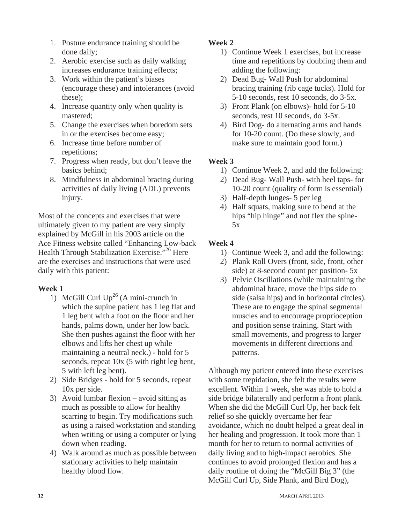- 1. Posture endurance training should be done daily;
- 2. Aerobic exercise such as daily walking increases endurance training effects;
- 3. Work within the patient's biases (encourage these) and intolerances (avoid these);
- 4. Increase quantity only when quality is mastered;
- 5. Change the exercises when boredom sets in or the exercises become easy;
- 6. Increase time before number of repetitions;
- 7. Progress when ready, but don't leave the basics behind;
- 8. Mindfulness in abdominal bracing during activities of daily living (ADL) prevents injury.

Most of the concepts and exercises that were ultimately given to my patient are very simply explained by McGill in his 2003 article on the Ace Fitness website called "Enhancing Low-back Health Through Stabilization Exercise."26 Here are the exercises and instructions that were used daily with this patient:

## **Week 1**

- 1) McGill Curl  $Up^{26}$  (A mini-crunch in which the supine patient has 1 leg flat and 1 leg bent with a foot on the floor and her hands, palms down, under her low back. She then pushes against the floor with her elbows and lifts her chest up while maintaining a neutral neck.) - hold for 5 seconds, repeat 10x (5 with right leg bent, 5 with left leg bent).
- 2) Side Bridges hold for 5 seconds, repeat 10x per side.
- 3) Avoid lumbar flexion avoid sitting as much as possible to allow for healthy scarring to begin. Try modifications such as using a raised workstation and standing when writing or using a computer or lying down when reading.
- 4) Walk around as much as possible between stationary activities to help maintain healthy blood flow.

# **Week 2**

- 1) Continue Week 1 exercises, but increase time and repetitions by doubling them and adding the following:
- 2) Dead Bug- Wall Push for abdominal bracing training (rib cage tucks). Hold for 5-10 seconds, rest 10 seconds, do 3-5x.
- 3) Front Plank (on elbows)- hold for 5-10 seconds, rest 10 seconds, do 3-5x.
- 4) Bird Dog- do alternating arms and hands for 10-20 count. (Do these slowly, and make sure to maintain good form.)

# **Week 3**

- 1) Continue Week 2, and add the following:
- 2) Dead Bug- Wall Push- with heel taps- for 10-20 count (quality of form is essential)
- 3) Half-depth lunges- 5 per leg
- 4) Half squats, making sure to bend at the hips "hip hinge" and not flex the spine-5x

# **Week 4**

- 1) Continue Week 3, and add the following:
- 2) Plank Roll Overs (front, side, front, other side) at 8-second count per position- 5x
- 3) Pelvic Oscillations (while maintaining the abdominal brace, move the hips side to side (salsa hips) and in horizontal circles). These are to engage the spinal segmental muscles and to encourage proprioception and position sense training. Start with small movements, and progress to larger movements in different directions and patterns.

Although my patient entered into these exercises with some trepidation, she felt the results were excellent. Within 1 week, she was able to hold a side bridge bilaterally and perform a front plank. When she did the McGill Curl Up, her back felt relief so she quickly overcame her fear avoidance, which no doubt helped a great deal in her healing and progression. It took more than 1 month for her to return to normal activities of daily living and to high-impact aerobics. She continues to avoid prolonged flexion and has a daily routine of doing the "McGill Big 3" (the McGill Curl Up, Side Plank, and Bird Dog),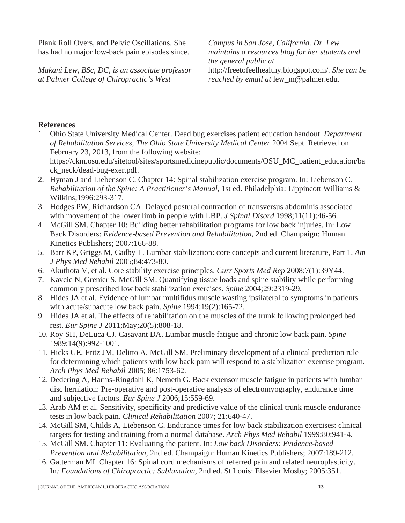Plank Roll Overs, and Pelvic Oscillations. She has had no major low-back pain episodes since.

*Makani Lew, BSc, DC, is an associate professor at Palmer College of Chiropractic's West* 

*Campus in San Jose, California. Dr. Lew maintains a resources blog for her students and the general public at*  http://freetofeelhealthy.blogspot.com/*. She can be reached by email at* lew\_m@palmer.edu*.*

### **References**

1. Ohio State University Medical Center. Dead bug exercises patient education handout. *Department of Rehabilitation Services, The Ohio State University Medical Center* 2004 Sept. Retrieved on February 23, 2013, from the following website: https://ckm.osu.edu/sitetool/sites/sportsmedicinepublic/documents/OSU\_MC\_patient\_education/ba

ck\_neck/dead-bug-exer.pdf.

- 2. Hyman J and Liebenson C. Chapter 14: Spinal stabilization exercise program. In: Liebenson C*. Rehabilitation of the Spine: A Practitioner's Manual*, 1st ed. Philadelphia: Lippincott Williams & Wilkins;1996:293-317.
- 3. Hodges PW, Richardson CA. Delayed postural contraction of transversus abdominis associated with movement of the lower limb in people with LBP. *J Spinal Disord* 1998;11(11):46-56.
- 4. McGill SM. Chapter 10: Building better rehabilitation programs for low back injuries. In: Low Back Disorders: *Evidence-based Prevention and Rehabilitation*, 2nd ed. Champaign: Human Kinetics Publishers; 2007:166-88.
- 5. Barr KP, Griggs M, Cadby T. Lumbar stabilization: core concepts and current literature, Part 1. *Am J Phys Med Rehabil* 2005;84:473-80.
- 6. Akuthota V, et al. Core stability exercise principles. *Curr Sports Med Rep* 2008;7(1):39Y44.
- 7. Kavcic N, Grenier S, McGill SM. Quantifying tissue loads and spine stability while performing commonly prescribed low back stabilization exercises. *Spine* 2004;29:2319-29.
- 8. Hides JA et al. Evidence of lumbar multifidus muscle wasting ipsilateral to symptoms in patients with acute/subacute low back pain. *Spine* 1994;19(2):165-72.
- 9. Hides JA et al. The effects of rehabilitation on the muscles of the trunk following prolonged bed rest. *Eur Spine J* 2011;May;20(5):808-18.
- 10. Roy SH, DeLuca CJ, Casavant DA. Lumbar muscle fatigue and chronic low back pain. *Spine* 1989;14(9):992-1001.
- 11. Hicks GE, Fritz JM, Delitto A, McGill SM. Preliminary development of a clinical prediction rule for determining which patients with low back pain will respond to a stabilization exercise program. *Arch Phys Med Rehabil* 2005; 86:1753-62.
- 12. Dedering A, Harms-Ringdahl K, Nemeth G. Back extensor muscle fatigue in patients with lumbar disc herniation: Pre-operative and post-operative analysis of electromyography, endurance time and subjective factors. *Eur Spine J* 2006;15:559-69.
- 13. Arab AM et al. Sensitivity, specificity and predictive value of the clinical trunk muscle endurance tests in low back pain. *Clinical Rehabilitation* 2007; 21:640-47.
- 14. McGill SM, Childs A, Liebenson C. Endurance times for low back stabilization exercises: clinical targets for testing and training from a normal database. *Arch Phys Med Rehabil* 1999;80:941-4.
- 15. McGill SM. Chapter 11: Evaluating the patient. In: *Low back Disorders: Evidence-based Prevention and Rehabilitation*, 2nd ed. Champaign: Human Kinetics Publishers; 2007:189-212.
- 16. Gatterman MI. Chapter 16: Spinal cord mechanisms of referred pain and related neuroplasticity. In*: Foundations of Chiropractic: Subluxation*, 2nd ed. St Louis: Elsevier Mosby; 2005:351.